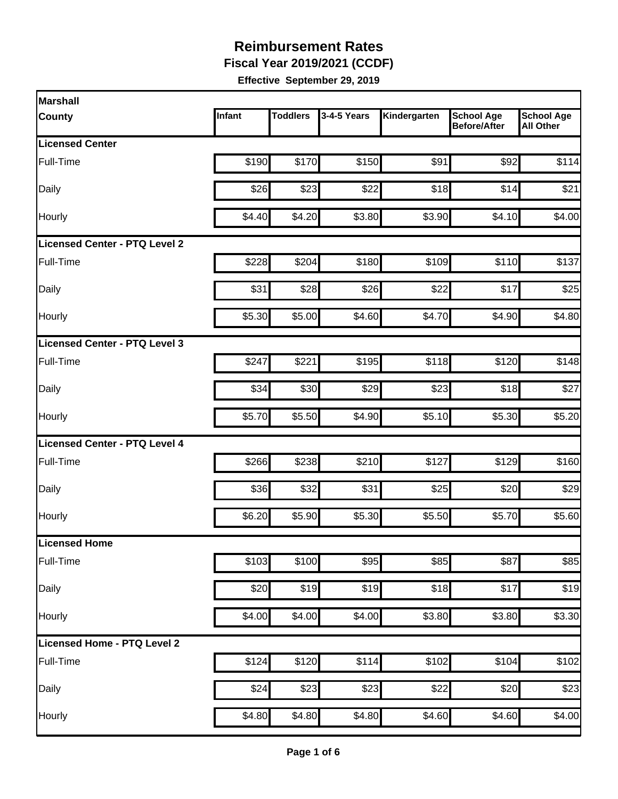**Fiscal Year 2019/2021 (CCDF)** 

| Marshall                      |        |                 |             |              |                                          |                                       |
|-------------------------------|--------|-----------------|-------------|--------------|------------------------------------------|---------------------------------------|
| <b>County</b>                 | Infant | <b>Toddlers</b> | 3-4-5 Years | Kindergarten | <b>School Age</b><br><b>Before/After</b> | <b>School Age</b><br><b>All Other</b> |
| <b>Licensed Center</b>        |        |                 |             |              |                                          |                                       |
| Full-Time                     | \$190  | \$170           | \$150       | \$91         | \$92                                     | \$114                                 |
| Daily                         | \$26   | \$23            | \$22        | \$18         | \$14                                     | \$21                                  |
| Hourly                        | \$4.40 | \$4.20          | \$3.80      | \$3.90       | \$4.10                                   | \$4.00                                |
| Licensed Center - PTQ Level 2 |        |                 |             |              |                                          |                                       |
| Full-Time                     | \$228  | \$204           | \$180       | \$109        | \$110                                    | \$137                                 |
| Daily                         | \$31   | \$28            | \$26        | \$22         | \$17                                     | \$25                                  |
| Hourly                        | \$5.30 | \$5.00          | \$4.60      | \$4.70       | \$4.90                                   | \$4.80                                |
| Licensed Center - PTQ Level 3 |        |                 |             |              |                                          |                                       |
| Full-Time                     | \$247  | \$221           | \$195       | \$118        | \$120                                    | \$148                                 |
| Daily                         | \$34   | \$30            | \$29        | \$23         | \$18                                     | \$27                                  |
| Hourly                        | \$5.70 | \$5.50          | \$4.90      | \$5.10       | \$5.30                                   | \$5.20                                |
| Licensed Center - PTQ Level 4 |        |                 |             |              |                                          |                                       |
| Full-Time                     | \$266  | \$238           | \$210       | \$127        | \$129                                    | \$160                                 |
| Daily                         | \$36   | \$32            | \$31        | \$25         | \$20                                     | \$29                                  |
| Hourly                        | \$6.20 | \$5.90          | \$5.30      | \$5.50       | \$5.70                                   | \$5.60                                |
| <b>Licensed Home</b>          |        |                 |             |              |                                          |                                       |
| Full-Time                     | \$103  | \$100           | \$95        | \$85         | \$87                                     | \$85                                  |
| Daily                         | \$20   | \$19            | \$19        | \$18         | \$17                                     | \$19                                  |
| Hourly                        | \$4.00 | \$4.00          | \$4.00      | \$3.80       | \$3.80                                   | \$3.30                                |
| Licensed Home - PTQ Level 2   |        |                 |             |              |                                          |                                       |
| Full-Time                     | \$124  | \$120           | \$114       | \$102        | \$104                                    | \$102                                 |
| Daily                         | \$24   | \$23            | \$23        | \$22         | \$20                                     | \$23                                  |
| Hourly                        | \$4.80 | \$4.80          | \$4.80      | \$4.60       | \$4.60                                   | \$4.00                                |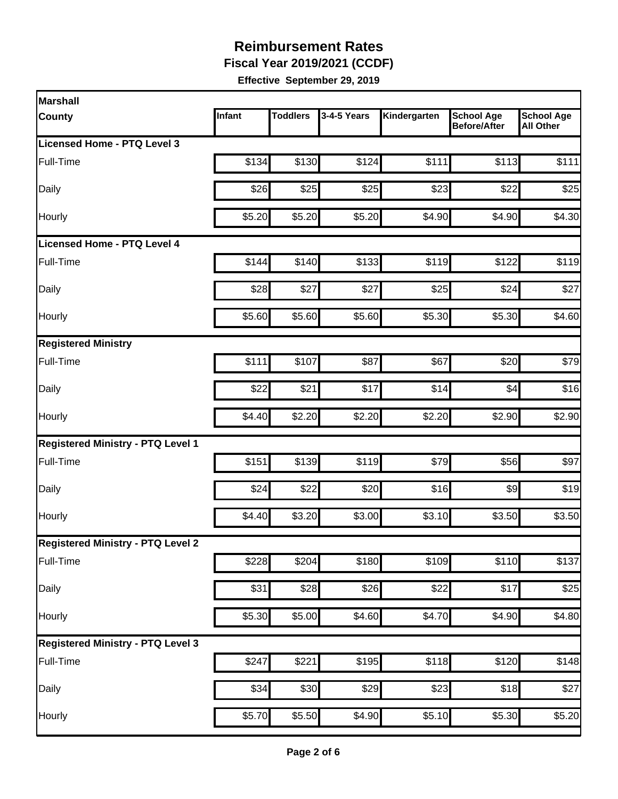**Fiscal Year 2019/2021 (CCDF)** 

| Marshall                                 |        |                 |                  |                  |                                          |                                       |
|------------------------------------------|--------|-----------------|------------------|------------------|------------------------------------------|---------------------------------------|
| County                                   | Infant | <b>Toddlers</b> | 3-4-5 Years      | Kindergarten     | <b>School Age</b><br><b>Before/After</b> | <b>School Age</b><br><b>All Other</b> |
| Licensed Home - PTQ Level 3              |        |                 |                  |                  |                                          |                                       |
| Full-Time                                | \$134  | \$130           | \$124            | \$111            | \$113                                    | \$111                                 |
| Daily                                    | \$26   | \$25            | \$25             | \$23             | \$22                                     | \$25                                  |
| Hourly                                   | \$5.20 | \$5.20          | \$5.20           | \$4.90           | \$4.90                                   | \$4.30                                |
| Licensed Home - PTQ Level 4              |        |                 |                  |                  |                                          |                                       |
| Full-Time                                | \$144  | \$140           | \$133            | \$119            | \$122                                    | \$119                                 |
| Daily                                    | \$28   | \$27            | \$27             | \$25             | \$24                                     | \$27                                  |
| Hourly                                   | \$5.60 | \$5.60          | \$5.60           | \$5.30           | \$5.30                                   | \$4.60                                |
| <b>Registered Ministry</b>               |        |                 |                  |                  |                                          |                                       |
| Full-Time                                | \$111  | \$107           | \$87             | \$67             | \$20                                     | \$79                                  |
| Daily                                    | \$22   | \$21            | \$17             | \$14             | \$4                                      | \$16                                  |
| Hourly                                   | \$4.40 | \$2.20          | \$2.20           | \$2.20           | \$2.90                                   | \$2.90                                |
| <b>Registered Ministry - PTQ Level 1</b> |        |                 |                  |                  |                                          |                                       |
| Full-Time                                | \$151  | \$139           | \$119            | \$79             | \$56                                     | \$97                                  |
| Daily                                    | \$24   | \$22            | \$20             | \$16             | \$9                                      | \$19                                  |
| Hourly                                   | \$4.40 | \$3.20          | \$3.00           | \$3.10           | \$3.50                                   | \$3.50                                |
| <b>Registered Ministry - PTQ Level 2</b> |        |                 |                  |                  |                                          |                                       |
| Full-Time                                | \$228  | \$204           | \$180            | \$109            | \$110                                    | \$137                                 |
| Daily                                    | \$31   | \$28            | $\overline{$}26$ | $\overline{$22}$ | \$17                                     | \$25                                  |
| Hourly                                   | \$5.30 | \$5.00          | \$4.60           | \$4.70           | \$4.90                                   | \$4.80                                |
| <b>Registered Ministry - PTQ Level 3</b> |        |                 |                  |                  |                                          |                                       |
| Full-Time                                | \$247  | \$221           | \$195            | \$118            | \$120                                    | \$148                                 |
| Daily                                    | \$34   | \$30            | \$29             | \$23             | \$18                                     | \$27                                  |
| Hourly                                   | \$5.70 | \$5.50          | \$4.90           | \$5.10           | \$5.30                                   | \$5.20                                |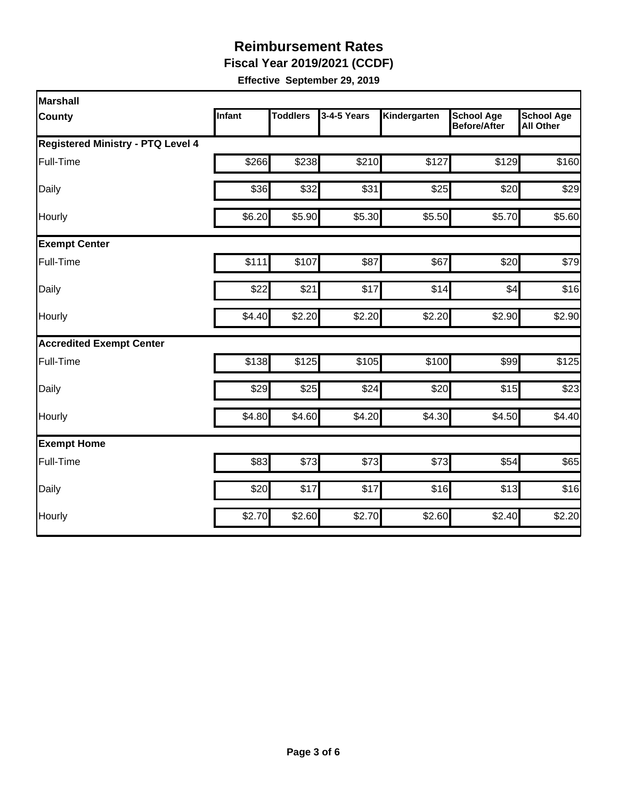**Fiscal Year 2019/2021 (CCDF)** 

| Marshall                                 |        |                 |             |              |                                          |                                       |
|------------------------------------------|--------|-----------------|-------------|--------------|------------------------------------------|---------------------------------------|
| <b>County</b>                            | Infant | <b>Toddlers</b> | 3-4-5 Years | Kindergarten | <b>School Age</b><br><b>Before/After</b> | <b>School Age</b><br><b>All Other</b> |
| <b>Registered Ministry - PTQ Level 4</b> |        |                 |             |              |                                          |                                       |
| Full-Time                                | \$266  | \$238           | \$210       | \$127        | \$129                                    | \$160                                 |
| Daily                                    | \$36   | \$32            | \$31        | \$25         | \$20                                     | \$29                                  |
| Hourly                                   | \$6.20 | \$5.90          | \$5.30      | \$5.50       | \$5.70                                   | \$5.60                                |
| <b>Exempt Center</b>                     |        |                 |             |              |                                          |                                       |
| Full-Time                                | \$111  | \$107           | \$87        | \$67         | \$20                                     | \$79                                  |
| Daily                                    | \$22   | \$21            | \$17        | \$14         | \$4                                      | \$16                                  |
| Hourly                                   | \$4.40 | \$2.20          | \$2.20      | \$2.20       | \$2.90                                   | \$2.90                                |
| <b>Accredited Exempt Center</b>          |        |                 |             |              |                                          |                                       |
| Full-Time                                | \$138  | \$125           | \$105       | \$100        | \$99                                     | \$125                                 |
| Daily                                    | \$29   | \$25            | \$24        | \$20         | \$15                                     | \$23                                  |
| Hourly                                   | \$4.80 | \$4.60          | \$4.20      | \$4.30       | \$4.50                                   | \$4.40                                |
| <b>Exempt Home</b>                       |        |                 |             |              |                                          |                                       |
| Full-Time                                | \$83   | \$73            | \$73        | \$73         | \$54                                     | \$65                                  |
| Daily                                    | \$20   | \$17            | \$17        | \$16         | \$13                                     | \$16                                  |
| Hourly                                   | \$2.70 | \$2.60          | \$2.70      | \$2.60       | \$2.40                                   | \$2.20                                |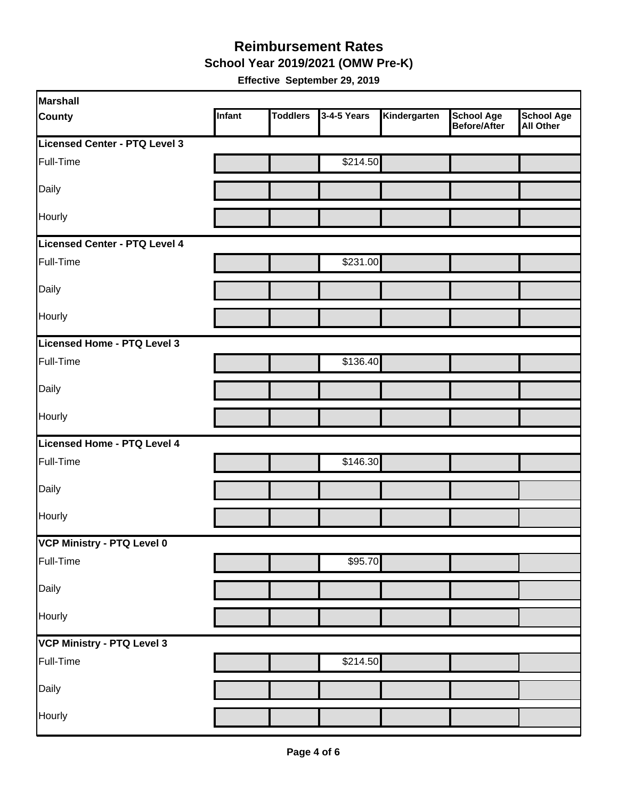#### **Reimbursement Rates School Year 2019/2021 (OMW Pre-K)**

| Marshall                      |        |                 |             |              |                                          |                                       |
|-------------------------------|--------|-----------------|-------------|--------------|------------------------------------------|---------------------------------------|
| <b>County</b>                 | Infant | <b>Toddlers</b> | 3-4-5 Years | Kindergarten | <b>School Age</b><br><b>Before/After</b> | <b>School Age</b><br><b>All Other</b> |
| Licensed Center - PTQ Level 3 |        |                 |             |              |                                          |                                       |
| Full-Time                     |        |                 | \$214.50    |              |                                          |                                       |
| Daily                         |        |                 |             |              |                                          |                                       |
| Hourly                        |        |                 |             |              |                                          |                                       |
| Licensed Center - PTQ Level 4 |        |                 |             |              |                                          |                                       |
| Full-Time                     |        |                 | \$231.00    |              |                                          |                                       |
| Daily                         |        |                 |             |              |                                          |                                       |
| Hourly                        |        |                 |             |              |                                          |                                       |
| Licensed Home - PTQ Level 3   |        |                 |             |              |                                          |                                       |
| Full-Time                     |        |                 | \$136.40    |              |                                          |                                       |
| Daily                         |        |                 |             |              |                                          |                                       |
| Hourly                        |        |                 |             |              |                                          |                                       |
| Licensed Home - PTQ Level 4   |        |                 |             |              |                                          |                                       |
| Full-Time                     |        |                 | \$146.30    |              |                                          |                                       |
| Daily                         |        |                 |             |              |                                          |                                       |
| Hourly                        |        |                 |             |              |                                          |                                       |
| VCP Ministry - PTQ Level 0    |        |                 |             |              |                                          |                                       |
| Full-Time                     |        |                 | \$95.70     |              |                                          |                                       |
| Daily                         |        |                 |             |              |                                          |                                       |
| Hourly                        |        |                 |             |              |                                          |                                       |
| VCP Ministry - PTQ Level 3    |        |                 |             |              |                                          |                                       |
| Full-Time                     |        |                 | \$214.50    |              |                                          |                                       |
| Daily                         |        |                 |             |              |                                          |                                       |
| Hourly                        |        |                 |             |              |                                          |                                       |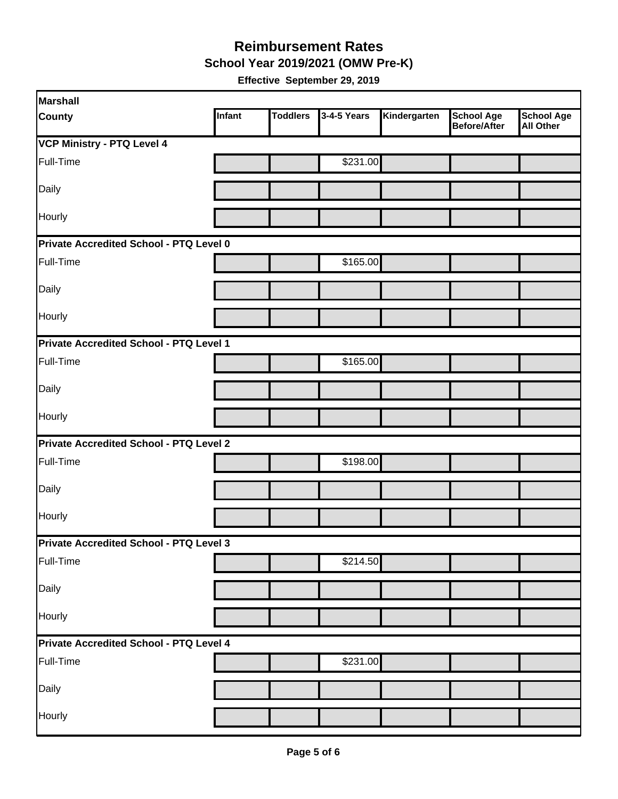**School Year 2019/2021 (OMW Pre-K)** 

| Marshall                                       |        |                 |             |              |                                   |                                       |
|------------------------------------------------|--------|-----------------|-------------|--------------|-----------------------------------|---------------------------------------|
| <b>County</b>                                  | Infant | <b>Toddlers</b> | 3-4-5 Years | Kindergarten | <b>School Age</b><br>Before/After | <b>School Age</b><br><b>All Other</b> |
| <b>VCP Ministry - PTQ Level 4</b>              |        |                 |             |              |                                   |                                       |
| Full-Time                                      |        |                 | \$231.00    |              |                                   |                                       |
| Daily                                          |        |                 |             |              |                                   |                                       |
| Hourly                                         |        |                 |             |              |                                   |                                       |
| <b>Private Accredited School - PTQ Level 0</b> |        |                 |             |              |                                   |                                       |
| Full-Time                                      |        |                 | \$165.00    |              |                                   |                                       |
| Daily                                          |        |                 |             |              |                                   |                                       |
| Hourly                                         |        |                 |             |              |                                   |                                       |
| Private Accredited School - PTQ Level 1        |        |                 |             |              |                                   |                                       |
| Full-Time                                      |        |                 | \$165.00    |              |                                   |                                       |
| Daily                                          |        |                 |             |              |                                   |                                       |
| Hourly                                         |        |                 |             |              |                                   |                                       |
| <b>Private Accredited School - PTQ Level 2</b> |        |                 |             |              |                                   |                                       |
| Full-Time                                      |        |                 | \$198.00    |              |                                   |                                       |
| Daily                                          |        |                 |             |              |                                   |                                       |
| Hourly                                         |        |                 |             |              |                                   |                                       |
| <b>Private Accredited School - PTQ Level 3</b> |        |                 |             |              |                                   |                                       |
| Full-Time                                      |        |                 | \$214.50    |              |                                   |                                       |
| Daily                                          |        |                 |             |              |                                   |                                       |
| Hourly                                         |        |                 |             |              |                                   |                                       |
| Private Accredited School - PTQ Level 4        |        |                 |             |              |                                   |                                       |
| Full-Time                                      |        |                 | \$231.00    |              |                                   |                                       |
| Daily                                          |        |                 |             |              |                                   |                                       |
| Hourly                                         |        |                 |             |              |                                   |                                       |